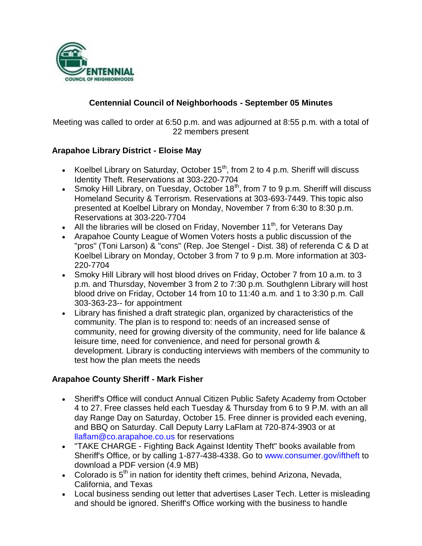

# **Centennial Council of Neighborhoods - September 05 Minutes**

Meeting was called to order at 6:50 p.m. and was adjourned at 8:55 p.m. with a total of 22 members present

### **Arapahoe Library District - Eloise May**

- Koelbel Library on Saturday, October  $15<sup>th</sup>$ , from 2 to 4 p.m. Sheriff will discuss Identity Theft. Reservations at 303-220-7704
- Smoky Hill Library, on Tuesday, October  $18<sup>th</sup>$ , from 7 to 9 p.m. Sheriff will discuss Homeland Security & Terrorism. Reservations at 303-693-7449. This topic also presented at Koelbel Library on Monday, November 7 from 6:30 to 8:30 p.m. Reservations at 303-220-7704
- All the libraries will be closed on Friday, November 11<sup>th</sup>, for Veterans Day
- Arapahoe County League of Women Voters hosts a public discussion of the "pros" (Toni Larson) & "cons" (Rep. Joe Stengel - Dist. 38) of referenda C & D at Koelbel Library on Monday, October 3 from 7 to 9 p.m. More information at 303- 220-7704
- Smoky Hill Library will host blood drives on Friday, October 7 from 10 a.m. to 3 p.m. and Thursday, November 3 from 2 to 7:30 p.m. Southglenn Library will host blood drive on Friday, October 14 from 10 to 11:40 a.m. and 1 to 3:30 p.m. Call 303-363-23-- for appointment
- Library has finished a draft strategic plan, organized by characteristics of the community. The plan is to respond to: needs of an increased sense of community, need for growing diversity of the community, need for life balance & leisure time, need for convenience, and need for personal growth & development. Library is conducting interviews with members of the community to test how the plan meets the needs

#### **Arapahoe County Sheriff - Mark Fisher**

- Sheriff's Office will conduct Annual Citizen Public Safety Academy from October 4 to 27. Free classes held each Tuesday & Thursday from 6 to 9 P.M. with an all day Range Day on Saturday, October 15. Free dinner is provided each evening, and BBQ on Saturday. Call Deputy Larry LaFlam at 720-874-3903 or at llaflam@co.arapahoe.co.us for reservations
- "TAKE CHARGE Fighting Back Against Identity Theft" books available from Sheriff's Office, or by calling 1-877-438-4338. Go to www.consumer.gov/iftheft to download a PDF version (4.9 MB)
- Colorado is  $5<sup>th</sup>$  in nation for identity theft crimes, behind Arizona, Nevada, California, and Texas
- Local business sending out letter that advertises Laser Tech. Letter is misleading and should be ignored. Sheriff's Office working with the business to handle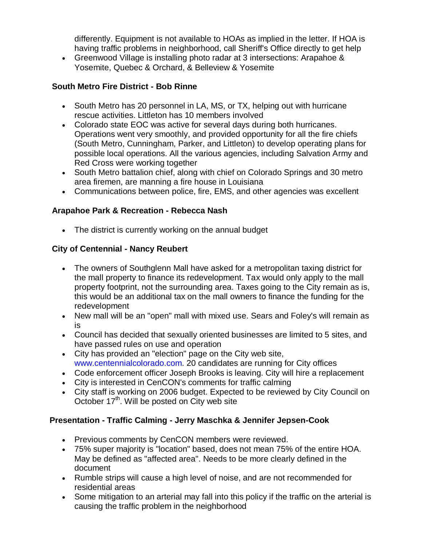differently. Equipment is not available to HOAs as implied in the letter. If HOA is having traffic problems in neighborhood, call Sheriff's Office directly to get help

 Greenwood Village is installing photo radar at 3 intersections: Arapahoe & Yosemite, Quebec & Orchard, & Belleview & Yosemite

## **South Metro Fire District - Bob Rinne**

- South Metro has 20 personnel in LA, MS, or TX, helping out with hurricane rescue activities. Littleton has 10 members involved
- Colorado state EOC was active for several days during both hurricanes. Operations went very smoothly, and provided opportunity for all the fire chiefs (South Metro, Cunningham, Parker, and Littleton) to develop operating plans for possible local operations. All the various agencies, including Salvation Army and Red Cross were working together
- South Metro battalion chief, along with chief on Colorado Springs and 30 metro area firemen, are manning a fire house in Louisiana
- Communications between police, fire, EMS, and other agencies was excellent

# **Arapahoe Park & Recreation - Rebecca Nash**

• The district is currently working on the annual budget

# **City of Centennial - Nancy Reubert**

- The owners of Southglenn Mall have asked for a metropolitan taxing district for the mall property to finance its redevelopment. Tax would only apply to the mall property footprint, not the surrounding area. Taxes going to the City remain as is, this would be an additional tax on the mall owners to finance the funding for the redevelopment
- New mall will be an "open" mall with mixed use. Sears and Foley's will remain as is
- Council has decided that sexually oriented businesses are limited to 5 sites, and have passed rules on use and operation
- City has provided an "election" page on the City web site, www.centennialcolorado.com. 20 candidates are running for City offices
- Code enforcement officer Joseph Brooks is leaving. City will hire a replacement
- City is interested in CenCON's comments for traffic calming
- City staff is working on 2006 budget. Expected to be reviewed by City Council on October  $17<sup>th</sup>$ . Will be posted on City web site

### **Presentation - Traffic Calming - Jerry Maschka & Jennifer Jepsen-Cook**

- Previous comments by CenCON members were reviewed.
- 75% super majority is "location" based, does not mean 75% of the entire HOA. May be defined as "affected area". Needs to be more clearly defined in the document
- Rumble strips will cause a high level of noise, and are not recommended for residential areas
- Some mitigation to an arterial may fall into this policy if the traffic on the arterial is causing the traffic problem in the neighborhood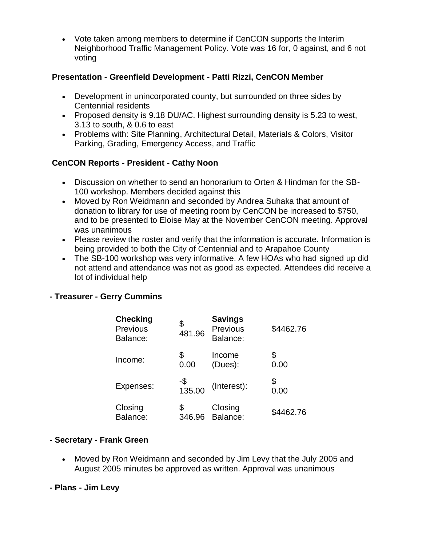Vote taken among members to determine if CenCON supports the Interim Neighborhood Traffic Management Policy. Vote was 16 for, 0 against, and 6 not voting

#### **Presentation - Greenfield Development - Patti Rizzi, CenCON Member**

- Development in unincorporated county, but surrounded on three sides by Centennial residents
- Proposed density is 9.18 DU/AC. Highest surrounding density is 5.23 to west, 3.13 to south, & 0.6 to east
- Problems with: Site Planning, Architectural Detail, Materials & Colors, Visitor Parking, Grading, Emergency Access, and Traffic

### **CenCON Reports - President - Cathy Noon**

- Discussion on whether to send an honorarium to Orten & Hindman for the SB-100 workshop. Members decided against this
- Moved by Ron Weidmann and seconded by Andrea Suhaka that amount of donation to library for use of meeting room by CenCON be increased to \$750, and to be presented to Eloise May at the November CenCON meeting. Approval was unanimous
- Please review the roster and verify that the information is accurate. Information is being provided to both the City of Centennial and to Arapahoe County
- The SB-100 workshop was very informative. A few HOAs who had signed up did not attend and attendance was not as good as expected. Attendees did receive a lot of individual help

### **- Treasurer - Gerry Cummins**

| <b>Checking</b><br>Previous<br>Balance: | \$<br>481.96  | <b>Savings</b><br>Previous<br>Balance: | \$4462.76  |
|-----------------------------------------|---------------|----------------------------------------|------------|
| Income:                                 | \$            | Income                                 | \$         |
|                                         | 0.00          | (Dues):                                | 0.00       |
| Expenses:                               | -\$<br>135.00 | (Interest):                            | \$<br>0.00 |
| Closing                                 | \$            | Closing                                | \$4462.76  |
| Balance:                                | 346.96        | Balance:                               |            |

### **- Secretary - Frank Green**

- Moved by Ron Weidmann and seconded by Jim Levy that the July 2005 and August 2005 minutes be approved as written. Approval was unanimous
- **- Plans - Jim Levy**